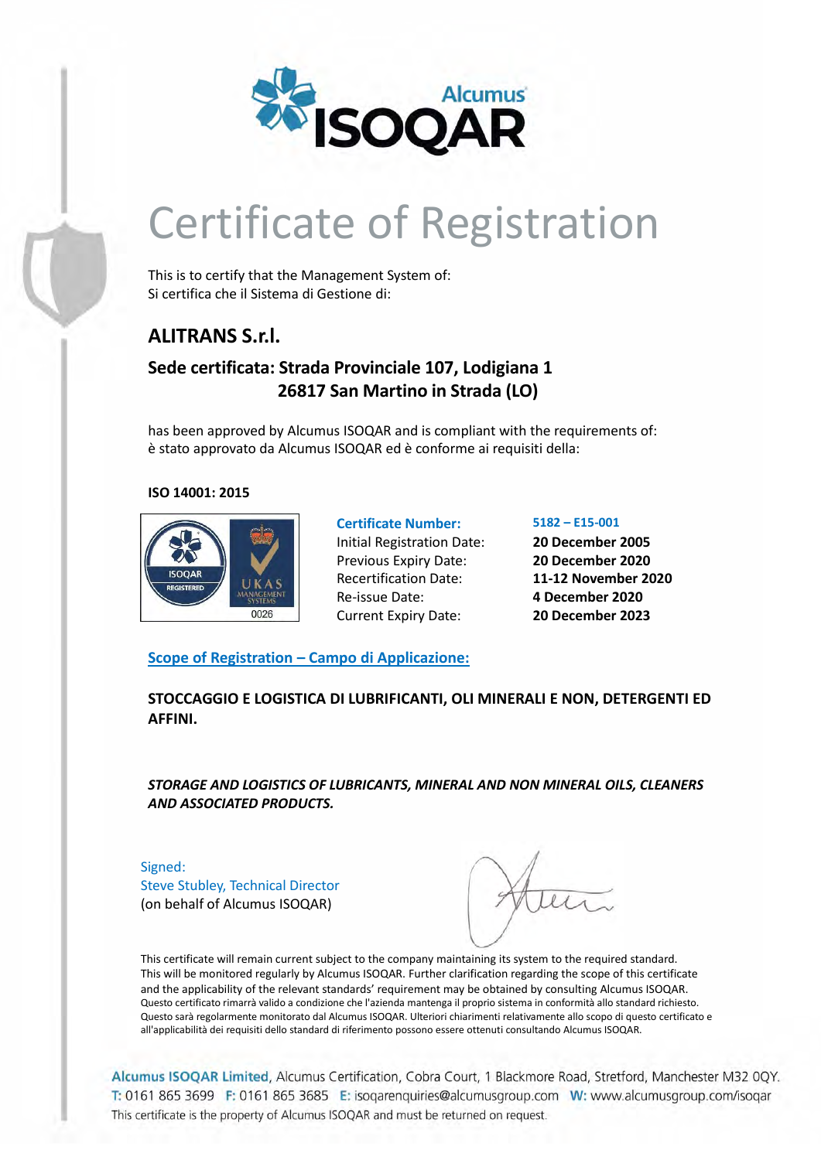

# Certificate of Registration

This is to certify that the Management System of: Si certifica che il Sistema di Gestione di:

## **ALITRANS S.r.l.**

### **Sede certificata: Strada Provinciale 107, Lodigiana 1 26817 San Martino in Strada (LO)**

has been approved by Alcumus ISOQAR and is compliant with the requirements of: è stato approvato da Alcumus ISOQAR ed è conforme ai requisiti della:

#### **ISO 14001: 2015**



Initial Registration Date: **20 December 2005** Previous Expiry Date: **20 December 2020** Recertification Date: **11-12 November 2020** Re-issue Date: **4 December 2020** Current Expiry Date: **20 December 2023**

**Certificate Number: 5182 – E15-001**

### **Scope of Registration – Campo di Applicazione:**

**STOCCAGGIO E LOGISTICA DI LUBRIFICANTI, OLI MINERALI E NON, DETERGENTI ED AFFINI.**

*STORAGE AND LOGISTICS OF LUBRICANTS, MINERAL AND NON MINERAL OILS, CLEANERS AND ASSOCIATED PRODUCTS.*

Signed: Steve Stubley, Technical Director (on behalf of Alcumus ISOQAR)

This certificate will remain current subject to the company maintaining its system to the required standard. This will be monitored regularly by Alcumus ISOQAR. Further clarification regarding the scope of this certificate and the applicability of the relevant standards' requirement may be obtained by consulting Alcumus ISOQAR. Questo certificato rimarrà valido a condizione che l'azienda mantenga il proprio sistema in conformità allo standard richiesto. Questo sarà regolarmente monitorato dal Alcumus ISOQAR. Ulteriori chiarimenti relativamente allo scopo di questo certificato e all'applicabilità dei requisiti dello standard di riferimento possono essere ottenuti consultando Alcumus ISOQAR.

Alcumus ISOQAR Limited, Alcumus Certification, Cobra Court, 1 Blackmore Road, Stretford, Manchester M32 0QY. T: 0161 865 3699 F: 0161 865 3685 E: isoqarenquiries@alcumusgroup.com W: www.alcumusgroup.com/isoqar This certificate is the property of Alcumus ISOQAR and must be returned on request.